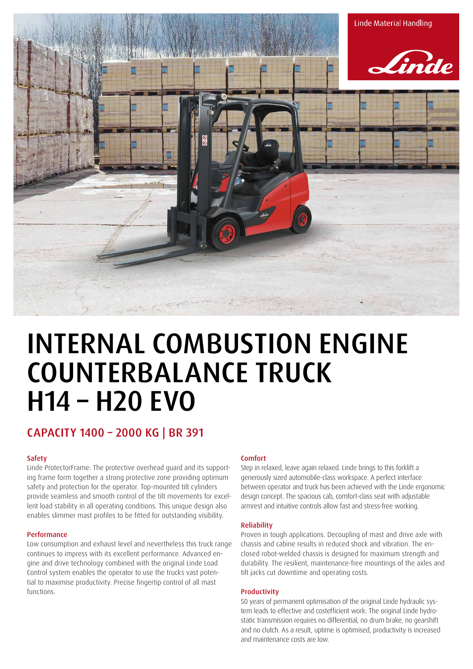

# INTERNAL COMBUSTION ENGINE COUNTERBALANCE TRUCK H14 – H20 EVO

# CAPACITY 1400 – 2000 KG | BR 391

### **Safety**

Linde ProtectorFrame: The protective overhead guard and its supporting frame form together a strong protective zone providing optimum safety and protection for the operator. Top-mounted tilt cylinders provide seamless and smooth control of the tilt movements for excellent load stability in all operating conditions. This unique design also enables slimmer mast profiles to be fitted for outstanding visibility.

#### Performance

Low consumption and exhaust level and nevertheless this truck range continues to impress with its excellent performance. Advanced engine and drive technology combined with the original Linde Load Control system enables the operator to use the trucks vast potential to maximise productivity. Precise fingertip control of all mast functions.

#### Comfort

Step in relaxed, leave again relaxed. Linde brings to this forklift a generously sized automobile-class workspace. A perfect interface between operator and truck has been achieved with the Linde ergonomic design concept. The spacious cab, comfort-class seat with adjustable armrest and intuitive controls allow fast and stress-free working.

#### Reliability

Proven in tough applications. Decoupling of mast and drive axle with chassis and cabine results in reduced shock and vibration. The enclosed robot-welded chassis is designed for maximum strength and durability. The resilient, maintenance-free mountings of the axles and tilt jacks cut downtime and operating costs.

### Productivity

50 years of permanent optimisation of the original Linde hydraulic system leads to effective and costefficient work: The original Linde hydrostatic transmission requires no differential, no drum brake, no gearshift and no clutch. As a result, uptime is optimised, productivity is increased and maintenance costs are low.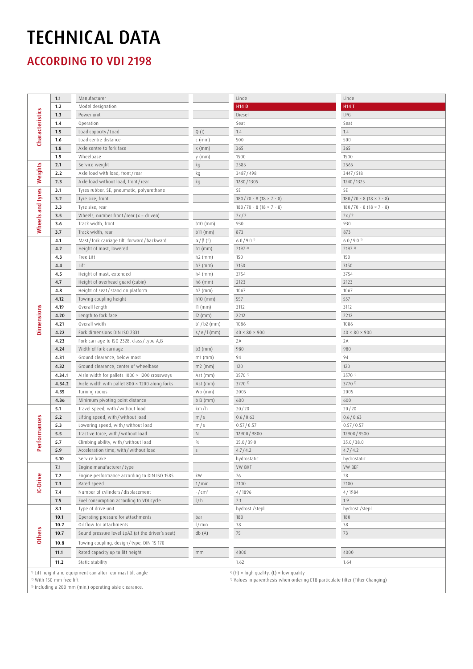# ACCORDING TO VDI 2198

|                        | 1.1                                 | Manufacturer                                                                                                                                 |                    | Linde                                                                                                                                             | Linde                         |
|------------------------|-------------------------------------|----------------------------------------------------------------------------------------------------------------------------------------------|--------------------|---------------------------------------------------------------------------------------------------------------------------------------------------|-------------------------------|
|                        | 1.2                                 | Model designation                                                                                                                            |                    | H <sub>14</sub> D                                                                                                                                 | <b>H14 T</b>                  |
|                        | 1.3                                 | Power unit                                                                                                                                   |                    | Diesel                                                                                                                                            | LPG                           |
| <b>Characteristics</b> | 1.4                                 | Operation                                                                                                                                    |                    | Seat                                                                                                                                              | Seat                          |
|                        | 1.5                                 | Load capacity/Load                                                                                                                           | Q(t)               | 1.4                                                                                                                                               | 1.4                           |
|                        | 1.6                                 | Load centre distance                                                                                                                         | c (mm)             | 500                                                                                                                                               | 500                           |
|                        | 1.8                                 | Axle centre to fork face                                                                                                                     | x (mm)             | 365                                                                                                                                               | 365                           |
|                        | 1.9                                 | Wheelbase                                                                                                                                    | y (mm)             | 1500                                                                                                                                              | 1500                          |
|                        | 2.1                                 | Service weight                                                                                                                               | kg                 | 2585                                                                                                                                              | 2565                          |
| Weights                | 2.2                                 | Axle load with load, front/rear                                                                                                              | kg                 | 3487/498                                                                                                                                          | 3447/518                      |
|                        | 2.3                                 | Axle load without load, front/rear                                                                                                           | kg                 | 1280/1305                                                                                                                                         | 1240/1325                     |
| Wheels and tyres       | 3.1                                 | Tyres rubber, SE, pneumatic, polyurethane                                                                                                    |                    | SE                                                                                                                                                | SE                            |
|                        | 3.2                                 | Tyre size, front                                                                                                                             |                    | $180/70 - 8(18 \times 7 - 8)$                                                                                                                     | $180/70 - 8(18 \times 7 - 8)$ |
|                        | 3.3                                 | Tyre size, rear                                                                                                                              |                    | $180/70 - 8(18 \times 7 - 8)$                                                                                                                     | $180/70 - 8(18 \times 7 - 8)$ |
|                        | 3.5                                 | Wheels, number front/rear $(x =$ driven)                                                                                                     |                    |                                                                                                                                                   |                               |
|                        |                                     |                                                                                                                                              |                    | 2x/2                                                                                                                                              | 2x/2                          |
|                        | 3.6                                 | Track width, front                                                                                                                           | $b10$ (mm)         | 930                                                                                                                                               | 930                           |
|                        | 3.7                                 | Track width, rear                                                                                                                            | $b11$ (mm)         | 873                                                                                                                                               | 873                           |
|                        | 4.1                                 | Mast/fork carriage tilt, forward/backward                                                                                                    | $\alpha/\beta$ (°) | $6.0 / 9.0$ <sup>1</sup>                                                                                                                          | $6.0 / 9.0$ <sup>1</sup>      |
|                        | 4.2                                 | Height of mast, lowered                                                                                                                      | $h1$ (mm)          | 2197 2)                                                                                                                                           | 2197 2)                       |
|                        | 4.3                                 | Free Lift                                                                                                                                    | h2 (mm)            | 150                                                                                                                                               | 150                           |
|                        | 4.4                                 | Lift                                                                                                                                         | $h3$ (mm)          | 3150                                                                                                                                              | 3150                          |
|                        | 4.5                                 | Height of mast, extended                                                                                                                     | h4 (mm)            | 3754                                                                                                                                              | 3754                          |
|                        | 4.7                                 | Height of overhead guard (cabin)                                                                                                             | $h6$ (mm)          | 2123                                                                                                                                              | 2123                          |
|                        | 4.8                                 | Height of seat / stand on platform                                                                                                           | $h7$ (mm)          | 1067                                                                                                                                              | 1067                          |
|                        | 4.12                                | Towing coupling height                                                                                                                       | $h10$ (mm)         | 557                                                                                                                                               | 557                           |
|                        | 4.19                                | Overall length                                                                                                                               | $11$ (mm)          | 3112                                                                                                                                              | 3112                          |
|                        | 4.20                                | Length to fork face                                                                                                                          | $12$ (mm)          | 2212                                                                                                                                              | 2212                          |
| <b>Dimensions</b>      | 4.21                                | Overall width                                                                                                                                | $b1/b2$ (mm)       | 1086                                                                                                                                              | 1086                          |
|                        | 4.22                                | Fork dimensions DIN ISO 2331                                                                                                                 | $s/e/I$ (mm)       | $40 \times 80 \times 900$                                                                                                                         | $40 \times 80 \times 900$     |
|                        | 4.23                                | Fork carriage to ISO 2328, class/type A,B                                                                                                    |                    | 2A                                                                                                                                                | 2A                            |
|                        | 4.24                                | Width of fork carriage                                                                                                                       | b3 (mm)            | 980                                                                                                                                               | 980                           |
|                        | 4.31                                | Ground clearance, below mast                                                                                                                 | $m1$ (mm)          | 94                                                                                                                                                | 94                            |
|                        | 4.32                                | Ground clearance, center of wheelbase                                                                                                        | $m2$ (mm)          | 120                                                                                                                                               | 120                           |
|                        | 4.34.1                              | Aisle width for pallets 1000 × 1200 crossways                                                                                                | Ast (mm)           | 3570 3)                                                                                                                                           | 3570 3)                       |
|                        | 4.34.2                              | Aisle width with pallet 800 x 1200 along forks                                                                                               | Ast (mm)           | 3770 3)                                                                                                                                           | 3770 3)                       |
|                        | 4.35                                | Turning radius                                                                                                                               | Wa (mm)            | 2005                                                                                                                                              | 2005                          |
|                        | 4.36                                | Minimum pivoting point distance                                                                                                              | $b13$ (mm)         | 600                                                                                                                                               | 600                           |
|                        | 5.1                                 | Travel speed, with/without load                                                                                                              | km/h               | 20/20                                                                                                                                             | 20/20                         |
|                        | 5.2                                 | Lifting speed, with/without load                                                                                                             | m/s                | 0.6/0.63                                                                                                                                          | 0.6/0.63                      |
|                        | 5.3                                 | Lowering speed, with/without load                                                                                                            | m/s                | 0.57/0.57                                                                                                                                         | 0.57/0.57                     |
| erformances            | 5.5                                 | Tractive force, with/without load                                                                                                            | Ν                  | 12900/9800                                                                                                                                        | 12900/9500                    |
|                        | 5.7                                 | Climbing ability, with/without load                                                                                                          | $0/0$              | 35.0/39.0                                                                                                                                         | 35.0/38.0                     |
| ے                      | 5.9                                 | Acceleration time, with/without load                                                                                                         | $\sf S$            | 4.7/4.2                                                                                                                                           | 4.7/4.2                       |
|                        | 5.10                                | Service brake                                                                                                                                |                    | hydrostatic                                                                                                                                       | hydrostatic                   |
|                        | 7.1                                 | Engine manufacturer/type                                                                                                                     |                    | <b>VW BXT</b>                                                                                                                                     | <b>VW BEF</b>                 |
|                        | 7.2                                 | Engine performance according to DIN ISO 1585                                                                                                 | kW                 | 26                                                                                                                                                | 28                            |
| IC-Drive               | 7.3                                 | Rated speed                                                                                                                                  | 1/min              | 2100                                                                                                                                              | 2100                          |
|                        | 7.4                                 | Number of cylinders / displacement                                                                                                           | $-$ / $cm3$        | 4/1896                                                                                                                                            | 4/1984                        |
|                        | 7.5                                 | Fuel consumption according to VDI cycle                                                                                                      | 1/h                | 2.1                                                                                                                                               | 1.9                           |
|                        | 8.1                                 | Type of drive unit                                                                                                                           |                    | hydrost./stepl.                                                                                                                                   | hydrost./stepl.               |
|                        | 10.1                                | Operating pressure for attachments                                                                                                           | bar                | 180                                                                                                                                               | 180                           |
|                        | 10.2                                | Oil flow for attachments                                                                                                                     | l/min              | 38                                                                                                                                                | 38                            |
| <b>Others</b>          | 10.7                                | Sound pressure level LpAZ (at the driver's seat)                                                                                             | db(A)              | 75                                                                                                                                                | 73                            |
|                        | 10.8                                | Towing coupling, design/type, DIN 15 170                                                                                                     |                    |                                                                                                                                                   |                               |
|                        | 11.1                                | Rated capacity up to lift height                                                                                                             | $\mathsf{mm}$      | 4000                                                                                                                                              | 4000                          |
|                        | 11.2                                | Static stability                                                                                                                             |                    | 1.62                                                                                                                                              | 1.64                          |
|                        |                                     |                                                                                                                                              |                    |                                                                                                                                                   |                               |
|                        | <sup>2)</sup> With 150 mm free lift | <sup>1)</sup> Lift height and equipment can alter rear mast tilt angle<br><sup>3)</sup> Including a 200 mm (min.) operating aisle clearance. |                    | <sup>4)</sup> (H) = high quality, (L) = low quality<br><sup>5)</sup> Values in parenthesis when ordering ETB particulate filter (Filter Changing) |                               |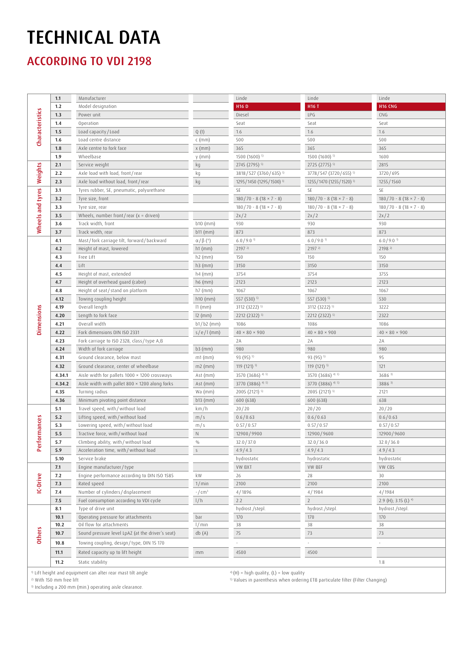# ACCORDING TO VDI 2198

|                        | 1.1                                 | Manufacturer                                                           |                           | Linde                                                  | Linde                                                                                      | Linde                         |
|------------------------|-------------------------------------|------------------------------------------------------------------------|---------------------------|--------------------------------------------------------|--------------------------------------------------------------------------------------------|-------------------------------|
| <b>Characteristics</b> | 1.2                                 | Model designation                                                      |                           | H <sub>16</sub> D                                      | <b>H16 T</b>                                                                               | H16 CNG                       |
|                        | 1.3                                 | Power unit                                                             |                           | Diesel                                                 | LPG                                                                                        | CNG                           |
|                        | 1.4                                 | Operation                                                              |                           | Seat                                                   | Seat                                                                                       | Seat                          |
|                        | 1.5                                 | Load capacity/Load                                                     | Q(t)                      | 1.6                                                    | 1.6                                                                                        | 1.6                           |
|                        | 1.6                                 | Load centre distance                                                   | $c$ (mm)                  | 500                                                    | 500                                                                                        | 500                           |
|                        | 1.8                                 | Axle centre to fork face                                               | $x$ (mm)                  | 365                                                    | 365                                                                                        | 365                           |
|                        | 1.9                                 | Wheelbase                                                              | y (mm)                    | 1500 (1600) 5)                                         | 1500 (1600) 5)                                                                             | 1600                          |
|                        | 2.1                                 | Service weight                                                         | kg                        | 2745 (2795) 5)                                         | 2725 (2775) 5)                                                                             | 2815                          |
| Weights                | 2.2                                 | Axle load with load, front/rear                                        | kg                        | 3818/527 (3760/635) 5)                                 | 3778/547 (3720/655) 5)                                                                     | 3720/695                      |
|                        | 2.3                                 | Axle load without load, front/rear                                     | kg                        | 1295/1450 (1295/1500) <sup>5)</sup>                    | 1255 / 1470 (1255 / 1520) 5)                                                               | 1255/1560                     |
|                        | 3.1                                 | Tyres rubber, SE, pneumatic, polyurethane                              |                           | SE                                                     | SE                                                                                         | SE                            |
|                        | 3.2                                 | Tyre size, front                                                       |                           | $180/70 - 8(18 \times 7 - 8)$                          | $180/70 - 8(18 \times 7 - 8)$                                                              | $180/70 - 8(18 \times 7 - 8)$ |
| Wheels and tyres       | 3.3                                 | Tyre size, rear                                                        |                           | $180/70 - 8(18 \times 7 - 8)$                          | $180/70 - 8(18 \times 7 - 8)$                                                              | $180/70 - 8(18 \times 7 - 8)$ |
|                        | 3.5                                 | Wheels, number front/rear $(x =$ driven)                               |                           | 2x/2                                                   | 2x/2                                                                                       | 2x/2                          |
|                        | 3.6                                 | Track width, front                                                     | $b10$ (mm)                | 930                                                    | 930                                                                                        | 930                           |
|                        | 3.7                                 | Track width, rear                                                      | $b11$ (mm)                | 873                                                    | 873                                                                                        | 873                           |
|                        | 4.1                                 | Mast/fork carriage tilt, forward/backward                              | $\alpha/\beta$ (°)        | $6.0 / 9.0$ <sup>1)</sup>                              | $6.0 / 9.0$ <sup>1)</sup>                                                                  | $6.0 / 9.0$ <sup>1)</sup>     |
|                        | 4.2                                 | Height of mast, lowered                                                | $h1$ (mm)                 | 2197 2)                                                | 2197 2)                                                                                    | 2198 2)                       |
|                        | 4.3                                 | Free Lift                                                              | $h2$ (mm)                 | 150                                                    | 150                                                                                        | 150                           |
|                        | 4.4                                 | Lift                                                                   | $h3$ (mm)                 | 3150                                                   | 3150                                                                                       | 3150                          |
|                        | 4.5                                 | Height of mast, extended                                               | $h4$ (mm)                 | 3754                                                   | 3754                                                                                       | 3755                          |
|                        | 4.7                                 | Height of overhead guard (cabin)                                       | $h6$ (mm)                 | 2123                                                   | 2123                                                                                       | 2123                          |
|                        | 4.8                                 | Height of seat / stand on platform                                     | h7 (mm)                   | 1067                                                   | 1067                                                                                       | 1067                          |
|                        | 4.12                                | Towing coupling height                                                 | $h10$ (mm)                | 557 (530) 5)                                           | 557 (530) 5)                                                                               | 530                           |
| Dimensions             | 4.19<br>4.20                        | Overall length<br>Length to fork face                                  | $11$ (mm)<br>$12 \, (mm)$ | 3112 (3222) <sup>5)</sup><br>2212 (2322) <sup>5)</sup> | 3112 (3222) <sup>5)</sup><br>2212 (2322) <sup>5)</sup>                                     | 3222<br>2322                  |
|                        | 4.21                                | Overall width                                                          | $b1/b2$ (mm)              | 1086                                                   | 1086                                                                                       | 1086                          |
|                        | 4.22                                | Fork dimensions DIN ISO 2331                                           | $s/e/l$ (mm)              | $40 \times 80 \times 900$                              | $40 \times 80 \times 900$                                                                  | $40 \times 80 \times 900$     |
|                        | 4.23                                | Fork carriage to ISO 2328, class/type A,B                              |                           | 2A                                                     | 2A                                                                                         | 2A                            |
|                        | 4.24                                | Width of fork carriage                                                 | $b3$ (mm)                 | 980                                                    | 980                                                                                        | 980                           |
|                        | 4.31                                | Ground clearance, below mast                                           | $m1$ (mm)                 | 93 (95) 5)                                             | 93 (95) 5)                                                                                 | 95                            |
|                        | 4.32                                | Ground clearance, center of wheelbase                                  | $m2$ (mm)                 | 119 (121) 5)                                           | 119 $(121)$ <sup>5)</sup>                                                                  | 121                           |
|                        | 4.34.1                              | Aisle width for pallets 1000 x 1200 crossways                          | Ast (mm)                  | 3570 (3686) 4) 5)                                      | 3570 (3686) 4) 5)                                                                          | 3686 3)                       |
|                        | 4.34.2                              | Aisle width with pallet 800 $\times$ 1200 along forks                  | Ast (mm)                  | 3770 (3886) 4) 5)                                      | 3770 (3886) 4) 5)                                                                          | 3886 3)                       |
|                        | 4.35                                | Turning radius                                                         | Wa (mm)                   | 2005 (2121) 5)                                         | 2005 (2121) 5)                                                                             | 2121                          |
|                        | 4.36                                | Minimum pivoting point distance                                        | $b13$ (mm)                | 600 (638)                                              | 600 (638)                                                                                  | 638                           |
|                        | 5.1                                 | Travel speed, with/without load                                        | km/h                      | 20/20                                                  | 20/20                                                                                      | 20/20                         |
|                        | 5.2                                 | Lifting speed, with/without load                                       | m/s                       | 0.6/0.63                                               | 0.6/0.63                                                                                   | 0.6/0.63                      |
| erformances            | 5.3                                 | Lowering speed, with/without load                                      | m/s                       | 0.57/0.57                                              | 0.57/0.57                                                                                  | 0.57/0.57                     |
|                        | 5.5                                 | Tractive force, with/without load                                      | $\hbox{N}$                | 12900/9900                                             | 12900/9600                                                                                 | 12900/9600                    |
|                        | 5.7                                 | Climbing ability, with/without load                                    | $0/0$                     | 32.0/37.0                                              | 32.0/36.0                                                                                  | 32.0/36.0                     |
| ௨                      | 5.9                                 | Acceleration time, with/without load<br>Service brake                  | S                         | 4.9/4.3<br>hydrostatic                                 | 4.9/4.3<br>hydrostatic                                                                     | 4.9 / 4.3                     |
|                        | 5.10<br>7.1                         | Engine manufacturer/type                                               |                           | <b>VW BXT</b>                                          | VW BEF                                                                                     | hydrostatic<br>VW CBS         |
|                        | 7.2                                 | Engine performance according to DIN ISO 1585                           | kW                        | 26                                                     | 28                                                                                         | 30                            |
| IC-Drive               | 7.3                                 | Rated speed                                                            | 1/min                     | 2100                                                   | 2100                                                                                       | 2100                          |
|                        | 7.4                                 | Number of cylinders / displacement                                     | $-$ / cm <sup>3</sup>     | 4/1896                                                 | 4/1984                                                                                     | 4/1984                        |
|                        | 7.5                                 | Fuel consumption according to VDI cycle                                | 1/h                       | 2.2                                                    | $\overline{2}$                                                                             | 2.9 (H); 3.15 (L) 4)          |
|                        | 8.1                                 | Type of drive unit                                                     |                           | hydrost./stepl.                                        | hydrost./stepl.                                                                            | hydrost./stepl.               |
|                        | 10.1                                | Operating pressure for attachments                                     | bar                       | 170                                                    | 170                                                                                        | 170                           |
|                        | 10.2                                | Oil flow for attachments                                               | 1/min                     | 38                                                     | 38                                                                                         | 38                            |
| <b>Others</b>          | 10.7                                | Sound pressure level LpAZ (at the driver's seat)                       | db(A)                     | 75                                                     | 73                                                                                         | 73                            |
|                        | 10.8                                | Towing coupling, design/type, DIN 15 170                               |                           |                                                        |                                                                                            |                               |
|                        | 11.1                                | Rated capacity up to lift height                                       | $\mathsf{mm}$             | 4500                                                   | 4500                                                                                       |                               |
|                        | 11.2                                | Static stability                                                       |                           |                                                        |                                                                                            | 1.8                           |
|                        | <sup>2)</sup> With 150 mm free lift | <sup>1)</sup> Lift height and equipment can alter rear mast tilt angle |                           | $(4)$ (H) = high quality, (L) = low quality            | <sup>5)</sup> Values in parenthesis when ordering ETB particulate filter (Filter Changing) |                               |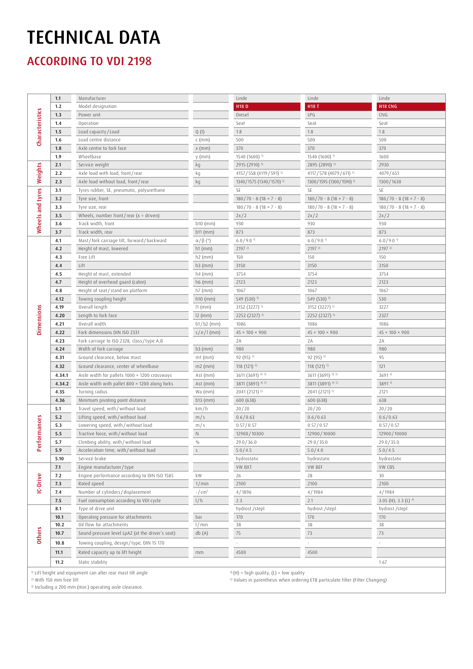# ACCORDING TO VDI 2198

|                        | 1.1                                 | Manufacturer                                                           |                     | Linde                                               | Linde                                                                                      | Linde                              |
|------------------------|-------------------------------------|------------------------------------------------------------------------|---------------------|-----------------------------------------------------|--------------------------------------------------------------------------------------------|------------------------------------|
| <b>Characteristics</b> | 1.2                                 | Model designation                                                      |                     | <b>H18D</b>                                         | <b>H18 T</b>                                                                               | H18 CNG                            |
|                        | 1.3                                 | Power unit                                                             |                     | Diesel                                              | LPG                                                                                        | CNG                                |
|                        | 1.4                                 | Operation                                                              |                     | Seat                                                | Seat                                                                                       | Seat                               |
|                        | 1.5                                 | Load capacity/Load                                                     | Q(t)                | 1.8                                                 | 1.8                                                                                        | 1.8                                |
|                        | 1.6                                 | Load centre distance                                                   | c (mm)              | 500                                                 | 500                                                                                        | 500                                |
|                        | 1.8                                 | Axle centre to fork face                                               | $x$ (mm)            | 370                                                 | 370                                                                                        | 370                                |
|                        | 1.9                                 | Wheelbase                                                              | y (mm)              | 1540 (1600) 5)                                      | 1540 (1600) 5)                                                                             | 1600                               |
| Weights                | 2.1                                 | Service weight                                                         | kg                  | 2915 (2910) 5)                                      | 2895 (2890) 5)                                                                             | 2930                               |
|                        | 2.2                                 | Axle load with load, front/rear                                        | kg                  | 4157 / 558 (4119 / 591) 5)                          | 4117 / 578 (4079 / 611) 5)                                                                 | 4079/651                           |
|                        | 2.3                                 | Axle load without load, front/rear                                     | kg                  | 1340/1575 (1340/1570) <sup>5)</sup>                 | 1300/1595 (1300/1590) <sup>5)</sup>                                                        | 1300/1630                          |
| Wheels and tyres       | 3.1                                 | Tyres rubber, SE, pneumatic, polyurethane                              |                     | SE                                                  | SE                                                                                         | SE                                 |
|                        | 3.2                                 | Tyre size, front                                                       |                     | $180/70 - 8(18 \times 7 - 8)$                       | $180/70 - 8(18 \times 7 - 8)$                                                              | $180/70 - 8(18 \times 7 - 8)$      |
|                        | 3.3                                 | Tyre size, rear                                                        |                     | $180/70 - 8(18 \times 7 - 8)$                       | $180/70 - 8(18 \times 7 - 8)$                                                              | $180/70 - 8(18 \times 7 - 8)$      |
|                        | 3.5                                 | Wheels, number front/rear $(x =$ driven)                               |                     | 2x/2                                                | 2x/2                                                                                       | 2x/2                               |
|                        | 3.6                                 | Track width, front                                                     | $b10$ (mm)          | 930                                                 | 930                                                                                        | 930                                |
|                        | 3.7                                 | Track width, rear                                                      | b11 (mm)            | 873                                                 | 873                                                                                        | 873                                |
|                        | 4.1                                 | Mast/fork carriage tilt, forward/backward                              | $\alpha/\beta$ (°)  | $6.0 / 9.0$ <sup>1)</sup>                           | $6.0 / 9.0$ <sup>1)</sup>                                                                  | $6.0 / 9.0$ <sup>1)</sup>          |
|                        | 4.2                                 | Height of mast, lowered                                                | $h1$ (mm)           | 2197 2)                                             | 2197 2)                                                                                    | 2197 2)                            |
|                        | 4.3                                 | Free Lift                                                              | $h2$ (mm)           | 150                                                 | 150                                                                                        | 150                                |
|                        | 4.4                                 | Lift                                                                   | $h3$ (mm)           | 3150                                                | 3150                                                                                       | 3150                               |
|                        | 4.5                                 | Height of mast, extended                                               | h4 (mm)             | 3754                                                | 3754                                                                                       | 3754                               |
|                        | 4.7                                 | Height of overhead guard (cabin)                                       | $h6$ (mm)           | 2123                                                | 2123                                                                                       | 2123                               |
|                        | 4.8                                 | Height of seat / stand on platform                                     | h7 (mm)             | 1067                                                | 1067                                                                                       | 1067                               |
|                        | 4.12                                | Towing coupling height                                                 | $h10$ (mm)          | 549 (530) 5)                                        | 549 (530) 5)                                                                               | 530                                |
| Dimensions             | 4.19                                | Overall length                                                         | $11$ (mm)           | 3152 (3227) <sup>5)</sup>                           | 3152 (3227) <sup>5)</sup>                                                                  | 3227                               |
|                        | 4.20                                | Length to fork face                                                    | $12 \, (mm)$        | 2252 (2327) <sup>5)</sup>                           | 2252 (2327) <sup>5)</sup>                                                                  | 2327                               |
|                        | 4.21                                | Overall width                                                          | $b1/b2$ (mm)        | 1086                                                | 1086<br>$45 \times 100 \times 900$                                                         | 1086<br>$45 \times 100 \times 900$ |
|                        | 4.22<br>4.23                        | Fork dimensions DIN ISO 2331                                           | $s/e/l$ (mm)        | $45 \times 100 \times 900$<br>2A                    | 2A                                                                                         | 2A                                 |
|                        | 4.24                                | Fork carriage to ISO 2328, class/type A,B<br>Width of fork carriage    | $b3$ (mm)           | 980                                                 | 980                                                                                        | 980                                |
|                        | 4.31                                | Ground clearance, below mast                                           | $m1$ (mm)           | 92 (95) 5)                                          | 92 (95) 5)                                                                                 | 95                                 |
|                        | 4.32                                | Ground clearance, center of wheelbase                                  | $m2$ (mm)           | 118 (121) 5)                                        | 118 (121) 5)                                                                               | 121                                |
|                        | 4.34.1                              | Aisle width for pallets 1000 x 1200 crossways                          | Ast (mm)            | 3611 (3691) 4) 5)                                   | 3611 (3691) 4) 5)                                                                          | 36913)                             |
|                        | 4.34.2                              | Aisle width with pallet 800 $\times$ 1200 along forks                  | Ast (mm)            | 3811 (3891) 4) 5)                                   | 3811 (3891) 4) 5)                                                                          | 3891 3)                            |
|                        | 4.35                                | Turning radius                                                         | Wa (mm)             | 2041 (2121) <sup>5)</sup>                           | 2041 (2121) 5)                                                                             | 2121                               |
|                        | 4.36                                | Minimum pivoting point distance                                        | $b13$ (mm)          | 600 (638)                                           | 600 (638)                                                                                  | 638                                |
|                        | 5.1                                 | Travel speed, with/without load                                        | km/h                | 20/20                                               | 20/20                                                                                      | 20/20                              |
|                        | 5.2                                 | Lifting speed, with/without load                                       | m/s                 | 0.6/0.63                                            | 0.6/0.63                                                                                   | 0.6/0.63                           |
|                        | 5.3                                 | Lowering speed, with/without load                                      | m/s                 | 0.57/0.57                                           | 0.57/0.57                                                                                  | 0.57/0.57                          |
|                        | 5.5                                 | Tractive force, with/without load                                      | Ν                   | 12900/10300                                         | 12900/10000                                                                                | 12900/10000                        |
| erformances            | 5.7                                 | Climbing ability, with/without load                                    | $0/0$               | 29.0/36.0                                           | 29.0/35.0                                                                                  | 29.0/35.0                          |
| ௨                      | 5.9                                 | Acceleration time, with/without load                                   | S                   | 5.0 / 4.5                                           | 5.0 / 4.0                                                                                  | 5.0 / 4.5                          |
|                        | 5.10                                | Service brake                                                          |                     | hydrostatic                                         | hydrostatic                                                                                | hydrostatic                        |
|                        | 7.1                                 | Engine manufacturer/type                                               |                     | <b>VW BXT</b>                                       | VW BEF                                                                                     | VW CBS                             |
|                        | 7.2                                 | Engine performance according to DIN ISO 1585                           | kW                  | 26                                                  | 28                                                                                         | 30                                 |
| IC-Drive               | 7.3                                 | Rated speed                                                            | 1/min               | 2100                                                | 2100                                                                                       | 2100                               |
|                        | 7.4                                 | Number of cylinders / displacement                                     | $-$ / $\text{cm}^3$ | 4/1896                                              | 4/1984                                                                                     | 4/1984                             |
|                        | 7.5                                 | Fuel consumption according to VDI cycle                                | 1/h                 | 2.3                                                 | 2.1                                                                                        | 3.05 (H); 3.3 (L) $4)$             |
|                        | 8.1                                 | Type of drive unit                                                     |                     | hydrost./stepl.                                     | hydrost./stepl.                                                                            | hydrost./stepl.                    |
|                        | 10.1                                | Operating pressure for attachments                                     | bar                 | 170                                                 | 170                                                                                        | 170                                |
|                        | 10.2                                | Oil flow for attachments                                               | 1/min               | 38                                                  | 38                                                                                         | 38                                 |
| <b>Others</b>          | 10.7                                | Sound pressure level LpAZ (at the driver's seat)                       | db(A)               | 75                                                  | 73                                                                                         | 73                                 |
|                        | 10.8                                | Towing coupling, design/type, DIN 15 170                               |                     |                                                     |                                                                                            |                                    |
|                        | 11.1                                | Rated capacity up to lift height                                       | $\mathsf{mm}$       | 4500                                                | 4500                                                                                       |                                    |
|                        | 11.2                                | Static stability                                                       |                     |                                                     |                                                                                            | 1.67                               |
|                        | <sup>2)</sup> With 150 mm free lift | <sup>1)</sup> Lift height and equipment can alter rear mast tilt angle |                     | $\frac{4}{3}$ (H) = high quality, (L) = low quality | <sup>5)</sup> Values in parenthesis when ordering ETB particulate filter (Filter Changing) |                                    |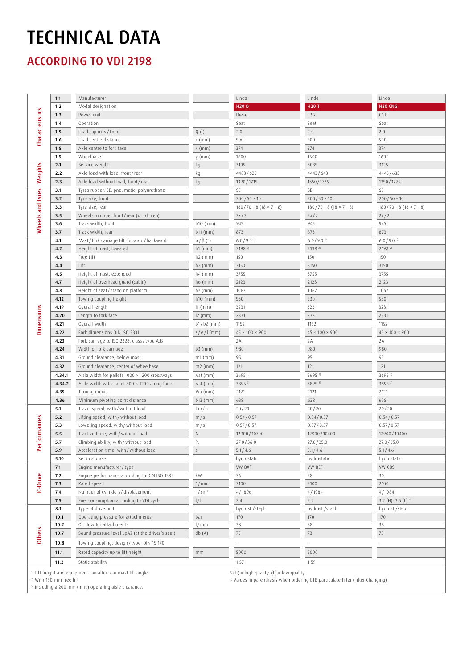# ACCORDING TO VDI 2198

|                        | 1.1                                 | Manufacturer                                                           |                                       | Linde                                       | Linde                                                                                      | Linde                          |
|------------------------|-------------------------------------|------------------------------------------------------------------------|---------------------------------------|---------------------------------------------|--------------------------------------------------------------------------------------------|--------------------------------|
| <b>Characteristics</b> | 1.2                                 | Model designation                                                      |                                       | <b>H20D</b>                                 | <b>H20 T</b>                                                                               | H <sub>20</sub> CNG            |
|                        | 1.3                                 | Power unit                                                             |                                       | Diesel                                      | LPG                                                                                        | CNG                            |
|                        | 1.4                                 | Operation                                                              |                                       | Seat                                        | Seat                                                                                       | Seat                           |
|                        | 1.5                                 | Load capacity/Load                                                     | Q(t)                                  | 2.0                                         | 2.0                                                                                        | 2.0                            |
|                        | 1.6                                 | Load centre distance                                                   | $c$ (mm)                              | 500                                         | 500                                                                                        | 500                            |
|                        | 1.8                                 | Axle centre to fork face                                               | $x$ (mm)                              | 374                                         | 374                                                                                        | 374                            |
|                        | 1.9                                 | Wheelbase                                                              | y (mm)                                | 1600                                        | 1600                                                                                       | 1600                           |
| Weights                | 2.1                                 | Service weight                                                         | kg                                    | 3105                                        | 3085                                                                                       | 3125                           |
|                        | 2.2                                 | Axle load with load, front/rear                                        | kg                                    | 4483/623                                    | 4443/643                                                                                   | 4443/683                       |
|                        | 2.3                                 | Axle load without load, front/rear                                     | kg                                    | 1390/1715                                   | 1350/1735                                                                                  | 1350/1775                      |
| Wheels and tyres       | 3.1                                 | Tyres rubber, SE, pneumatic, polyurethane                              |                                       | SE                                          | SE                                                                                         | SE                             |
|                        | 3.2                                 | Tyre size, front                                                       |                                       | $200/50 - 10$                               | $200/50 - 10$                                                                              | $200/50 - 10$                  |
|                        | 3.3                                 | Tyre size, rear                                                        |                                       | $180/70 - 8(18 \times 7 - 8)$               | $180/70 - 8(18 \times 7 - 8)$                                                              | $180/70 - 8(18 \times 7 - 8)$  |
|                        | 3.5                                 | Wheels, number front/rear ( $x =$ driven)                              |                                       | 2x/2                                        | 2x/2                                                                                       | 2x/2                           |
|                        | 3.6                                 | Track width, front                                                     | $b10$ (mm)                            | 945                                         | 945                                                                                        | 945                            |
|                        | 3.7                                 | Track width, rear                                                      | b11 (mm)                              | 873                                         | 873                                                                                        | 873                            |
|                        | 4.1                                 | Mast/fork carriage tilt, forward/backward                              | $\alpha/\beta$ (°)                    | $6.0 / 9.0$ <sup>1)</sup>                   | $6.0 / 9.0$ <sup>1)</sup>                                                                  | $6.0 / 9.0$ <sup>1)</sup>      |
|                        | 4.2                                 | Height of mast, lowered                                                | $h1$ (mm)                             | 2198 2)                                     | 2198 2)                                                                                    | 2198 2)                        |
|                        | 4.3                                 | Free Lift                                                              | h2 (mm)                               | 150                                         | 150                                                                                        | 150                            |
|                        | 4.4                                 | Lift                                                                   | $h3$ (mm)                             | 3150                                        | 3150                                                                                       | 3150                           |
|                        | 4.5                                 | Height of mast, extended                                               | h4 (mm)                               | 3755                                        | 3755                                                                                       | 3755                           |
|                        | 4.7                                 | Height of overhead guard (cabin)                                       | $h6$ (mm)                             | 2123                                        | 2123                                                                                       | 2123                           |
|                        | 4.8                                 | Height of seat / stand on platform                                     | h7 (mm)                               | 1067                                        | 1067                                                                                       | 1067                           |
|                        | 4.12                                | Towing coupling height                                                 | $h10$ (mm)                            | 530                                         | 530                                                                                        | 530                            |
| Dimensions             | 4.19                                | Overall length                                                         | $11$ (mm)                             | 3231                                        | 3231                                                                                       | 3231                           |
|                        | 4.20                                | Length to fork face                                                    | $12 \, (mm)$                          | 2331                                        | 2331                                                                                       | 2331                           |
|                        | 4.21                                | Overall width                                                          | $b1/b2$ (mm)                          | 1152                                        | 1152                                                                                       | 1152                           |
|                        | 4.22                                | Fork dimensions DIN ISO 2331                                           | $s/e/l$ (mm)                          | $45 \times 100 \times 900$                  | $45 \times 100 \times 900$                                                                 | $45 \times 100 \times 900$     |
|                        | 4.23                                | Fork carriage to ISO 2328, class/type A,B                              |                                       | 2A                                          | 2A                                                                                         | 2A                             |
|                        | 4.24                                | Width of fork carriage                                                 | b3 (mm)                               | 980                                         | 980                                                                                        | 980                            |
|                        | 4.31                                | Ground clearance, below mast                                           | $m1$ (mm)                             | 95                                          | 95                                                                                         | 95                             |
|                        | 4.32                                | Ground clearance, center of wheelbase                                  | $m2$ (mm)                             | 121                                         | 121                                                                                        | 121                            |
|                        | 4.34.1                              | Aisle width for pallets 1000 × 1200 crossways                          | Ast (mm)                              | 3695 3)                                     | 3695 3)                                                                                    | 3695 3)                        |
|                        | 4.34.2                              | Aisle width with pallet 800 $\times$ 1200 along forks                  | Ast (mm)                              | 3895 3)                                     | 3895 3)                                                                                    | 3895 3)                        |
|                        | 4.35                                | Turning radius                                                         | Wa (mm)                               | 2121                                        | 2121                                                                                       | 2121                           |
|                        | 4.36<br>5.1                         | Minimum pivoting point distance<br>Travel speed, with/without load     | $b13$ (mm)                            | 638                                         | 638                                                                                        | 638                            |
|                        | 5.2                                 | Lifting speed, with/without load                                       | km/h<br>m/s                           | 20/20<br>0.54/0.57                          | 20/20<br>0.54/0.57                                                                         | 20/20<br>0.54/0.57             |
|                        | 5.3                                 | Lowering speed, with/without load                                      | m/s                                   | 0.57/0.57                                   | 0.57/0.57                                                                                  | 0.57/0.57                      |
|                        | 5.5                                 | Tractive force, with / without load                                    | N                                     | 12900/10700                                 | 12900/10400                                                                                | 12900/10400                    |
| erformances            | 5.7                                 | Climbing ability, with/without load                                    | $\frac{0}{0}$                         | 27.0/36.0                                   | 27.0 / 35.0                                                                                | 27.0/35.0                      |
| ௨                      | 5.9                                 | Acceleration time, with/without load                                   | S                                     | 5.1 / 4.6                                   | 5.1 / 4.6                                                                                  | 5.1 / 4.6                      |
|                        | 5.10                                | Service brake                                                          |                                       | hydrostatic                                 | hydrostatic                                                                                | hydrostatic                    |
|                        | 7.1                                 | Engine manufacturer/type                                               |                                       | <b>VW BXT</b>                               | VW BEF                                                                                     | VW CBS                         |
|                        | 7.2                                 | Engine performance according to DIN ISO 1585                           | kW                                    | 26                                          | 28                                                                                         | 30                             |
| IC-Drive               | 7.3                                 | Rated speed                                                            | 1/min                                 | 2100                                        | 2100                                                                                       | 2100                           |
|                        | 7.4                                 | Number of cylinders / displacement                                     | $\overline{\phantom{a}}$ / $\rm cm^3$ | 4/1896                                      | 4/1984                                                                                     | 4/1984                         |
|                        | 7.5                                 | Fuel consumption according to VDI cycle                                | 1/h                                   | 2.4                                         | 2.2                                                                                        | 3.2 (H); 3.5 (L) <sup>4)</sup> |
|                        | 8.1                                 | Type of drive unit                                                     |                                       | hydrost./stepl.                             | hydrost./stepl.                                                                            | hydrost./stepl.                |
|                        | 10.1                                | Operating pressure for attachments                                     | bar                                   | 170                                         | 170                                                                                        | 170                            |
|                        | 10.2                                | Oil flow for attachments                                               | l/min                                 | 38                                          | 38                                                                                         | 38                             |
| <b>Others</b>          | 10.7                                | Sound pressure level LpAZ (at the driver's seat)                       | db(A)                                 | 75                                          | 73                                                                                         | 73                             |
|                        | 10.8                                | Towing coupling, design/type, DIN 15 170                               |                                       |                                             |                                                                                            |                                |
|                        | 11.1                                | Rated capacity up to lift height                                       | $\mathsf{mm}$                         | 5000                                        | 5000                                                                                       |                                |
|                        | 11.2                                | Static stability                                                       |                                       | 1.57                                        | 1.59                                                                                       |                                |
|                        |                                     |                                                                        |                                       |                                             |                                                                                            |                                |
|                        | <sup>2)</sup> With 150 mm free lift | <sup>1)</sup> Lift height and equipment can alter rear mast tilt angle |                                       | $(4)$ (H) = high quality, (L) = low quality | <sup>5)</sup> Values in parenthesis when ordering ETB particulate filter (Filter Changing) |                                |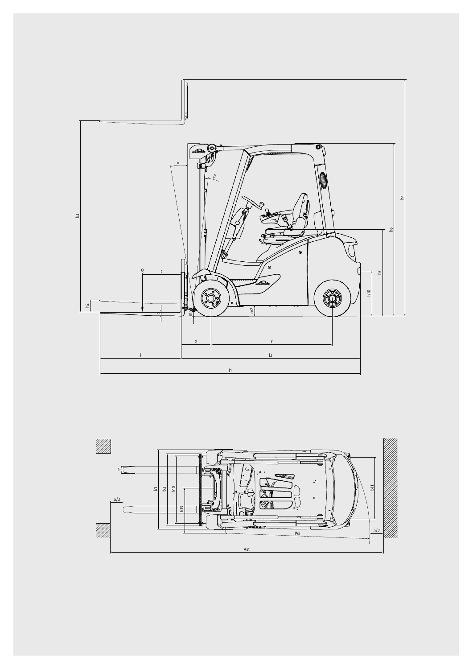

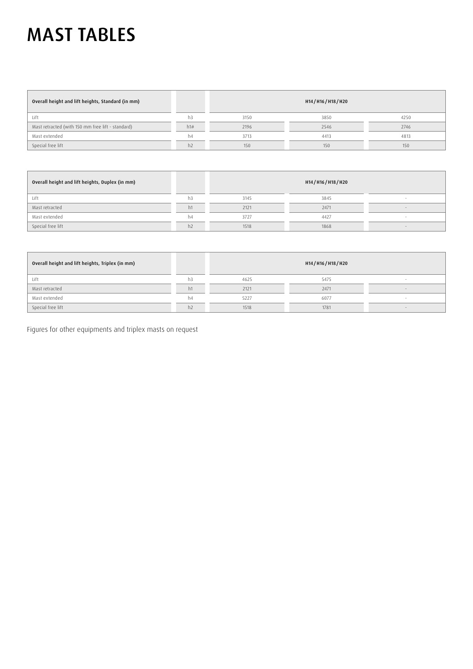# MAST TABLES

| Overall height and lift heights, Standard (in mm) |                |      | H14/H16/H18/H20 |      |
|---------------------------------------------------|----------------|------|-----------------|------|
| Lift                                              | h3             | 3150 | 3850            | 4250 |
| Mast retracted (with 150 mm free lift - standard) | h1#            | 2196 | 2546            | 2746 |
| Mast extended                                     | h4             | 3713 | 4413            | 4813 |
| Special free lift                                 | h <sub>2</sub> | 150  | 150             | 150  |

| Overall height and lift heights, Duplex (in mm) |                |      | H14/H16/H18/H20 |                          |
|-------------------------------------------------|----------------|------|-----------------|--------------------------|
| Lift                                            | h3             | 3145 | 3845            | $\overline{\phantom{a}}$ |
| Mast retracted                                  | h1             | 2121 | 2471            | $\overline{\phantom{a}}$ |
| Mast extended                                   | h4             | 3727 | 4427            |                          |
| Special free lift                               | h <sub>2</sub> | 1518 | 1868            | $\overline{\phantom{a}}$ |

| Overall height and lift heights, Triplex (in mm) |                |      | H14/H16/H18/H20 |        |
|--------------------------------------------------|----------------|------|-----------------|--------|
| Lift                                             | h3             | 4625 | 5475            |        |
| Mast retracted                                   | h1             | 2121 | 2471            | $\sim$ |
| Mast extended                                    | h4             | 5227 | 6077            |        |
| Special free lift                                | h <sub>2</sub> | 1518 | 1781            | $\sim$ |

Figures for other equipments and triplex masts on request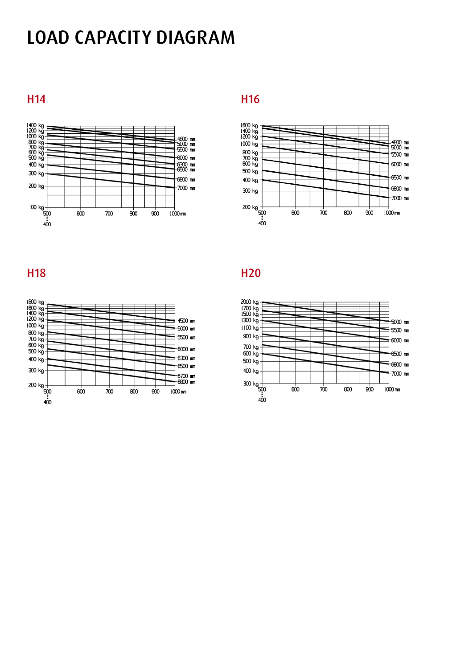# LOAD CAPACITY DIAGRAM

H14



### H16



H18



### H20

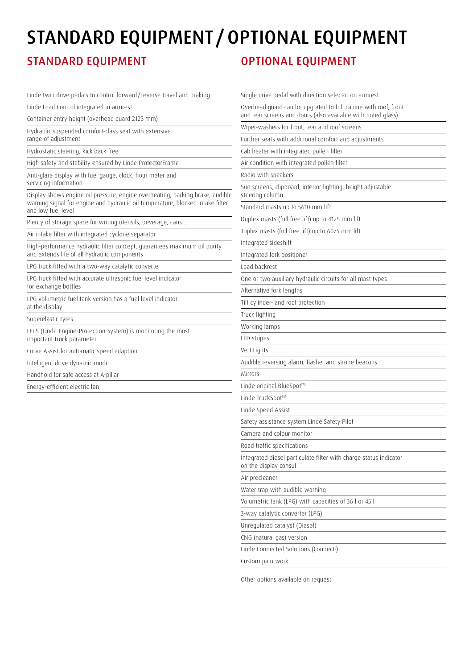# STANDARD EQUIPMENT /OPTIONAL EQUIPMENT

# STANDARD EQUIPMENT **OPTIONAL EQUIPMENT**

| Linde twin drive pedals to control forward/reverse travel and braking                                | Single drive pedal with direction selector on armrest                                                       |  |
|------------------------------------------------------------------------------------------------------|-------------------------------------------------------------------------------------------------------------|--|
| Linde Load Control integrated in armrest                                                             | Overhead quard can be upgrated to full cabine with<br>and rear screens and doors (also available with tinte |  |
| Container entry height (overhead quard 2123 mm)                                                      |                                                                                                             |  |
| Hydraulic suspended comfort-class seat with extensive                                                | Wiper-washers for front, rear and roof screens                                                              |  |
| range of adjustment                                                                                  | Further seats with additional comfort and adjustmen                                                         |  |
| Hydrostatic steering, kick back free                                                                 | Cab heater with integrated pollen filter                                                                    |  |
| High safety and stability ensured by Linde ProtectorFrame                                            | Air condition with integrated pollen filter                                                                 |  |
| Anti-glare display with fuel gauge, clock, hour meter and<br>servicing information                   | Radio with speakers                                                                                         |  |
| Display shows engine oil pressure, engine overheating, parking brake, audible                        | Sun screens, clipboard, interior lighting, height adjus<br>steering column                                  |  |
| warning signal for engine and hydraulic oil temperature, blocked intake filter<br>and low fuel level | Standard masts up to 5610 mm lift                                                                           |  |
| Plenty of storage space for writing utensils, beverage, cans                                         | Duplex masts (full free lift) up to 4125 mm lift                                                            |  |
| Air intake filter with integrated cyclone separator                                                  | Triplex masts (full free lift) up to 6075 mm lift                                                           |  |
| High-performance hydraulic filter concept, guarantees maximum oil purity                             | Integrated sideshift                                                                                        |  |
| and extends life of all hydraulic components                                                         | Integrated fork positioner                                                                                  |  |
| LPG truck fitted with a two-way catalytic converter                                                  | Load backrest                                                                                               |  |
| LPG truck fitted with accurate ultrasonic fuel level indicator                                       | One or two auxiliary hydraulic circuits for all mast ty                                                     |  |
| for exchange bottles                                                                                 | Alternative fork lengths                                                                                    |  |
| LPG volumetric fuel tank version has a fuel level indicator<br>at the display                        | Tilt cylinder- and roof protection                                                                          |  |
| Superelastic tyres                                                                                   | Truck lighting                                                                                              |  |
| LEPS (Linde-Engine-Protection-System) is monitoring the most                                         | Working lamps                                                                                               |  |
| important truck parameter                                                                            | LED stripes                                                                                                 |  |
| Curve Assist for automatic speed adaption                                                            | VertiLights                                                                                                 |  |
| Intelligent drive dynamic modi                                                                       | Audible reversing alarm, flasher and strobe beacons                                                         |  |
| Handhold for safe access at A-pillar                                                                 | Mirrors                                                                                                     |  |
| Energy-efficient electric fan                                                                        | Linde original BlueSpot™                                                                                    |  |
|                                                                                                      | Linde TruckSpot™                                                                                            |  |

on be upgrated to full cabine with roof, front nd doors (also available with tinted glass) front, rear and roof screens additional comfort and adjustments tegrated pollen filter integrated pollen filter Radio with speakers oard, interior lighting, height adjustable to 5610 mm lift free lift) up to 4125 mm lift free lift) up to 6075 mm lift sitioner ry hydraulic circuits for all mast types igths of protection alarm, flasher and strobe beacons SpotTM Linde Speed Assist Safety assistance system Linde Safety Pilot Camera and colour monitor Road traffic specifications Integrated diesel particulate filter with charge status indicator on the display consul Air precleaner Water trap with audible warning Volumetric tank (LPG) with capacities of 36 l or 45 l 3-way catalytic converter (LPG) Unregulated catalyst (Diesel) CNG (natural gas) version Linde Connected Solutions (Connect:) Custom paintwork

Other options available on request